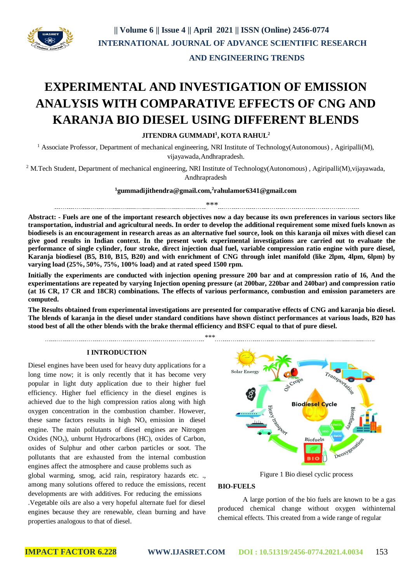

## **AND ENGINEERING TRENDS**

# **EXPERIMENTAL AND INVESTIGATION OF EMISSION ANALYSIS WITH COMPARATIVE EFFECTS OF CNG AND KARANJA BIO DIESEL USING DIFFERENT BLENDS**

## **JITENDRA GUMMADI<sup>1</sup> , KOTA RAHUL<sup>2</sup>**

<sup>1</sup> Associate Professor, Department of mechanical engineering, NRI Institute of Technology(Autonomous), Agiripalli(M), vijayawada,Andhrapradesh.

<sup>2</sup> M.Tech Student, Department of mechanical engineering, NRI Institute of Technology(Autonomous), Agiripalli(M), vijayawada, Andhrapradesh

## **<sup>1</sup>gummadijithendra@gmail.com,<sup>2</sup> rahulamor6341@gmail.com**

\*\*\* 

**Abstract: - Fuels are one of the important research objectives now a day because its own preferences in various sectors like transportation, industrial and agricultural needs. In order to develop the additional requirement some mixed fuels known as biodiesels is an encouragement in research areas as an alternative fuel source, look on this karanja oil mixes with diesel can** give good results in Indian context. In the present work experimental investigations are carried out to evaluate the **performance of single cylinder, four stroke, direct injection dual fuel, variable compression ratio engine with pure diesel, Karanja biodiesel (B5, B10, B15, B20) and with enrichment of CNG through inlet manifold (like 2lpm, 4lpm, 6lpm) by varying load (25%, 50%, 75%, 100% load) and at rated speed 1500 rpm.**

**Initially the experiments are conducted with injection opening pressure 200 bar and at compression ratio of 16, And the experimentations are repeated by varying Injection opening pressure (at 200bar, 220bar and 240bar) and compression ratio (at 16 CR, 17 CR and 18CR) combinations. The effects of various performance, combustion and emission parameters are computed.**

**The Results obtained from experimental investigations are presented for comparative effects of CNG and karanja bio diesel. The blends of karanja in the diesel under standard conditions have shown distinct performances at various loads, B20 has stood best of all the other blends with the brake thermal efficiency and BSFC equal to that of pure diesel.**

*\*\*\**

**I INTRODUCTION**

Diesel engines have been used for heavy duty applications for a long time now; it is only recently that it has become very popular in light duty application due to their higher fuel efficiency. Higher fuel efficiency in the diesel engines is achieved due to the high compression ratios along with high oxygen concentration in the combustion chamber. However, these same factors results in high  $NO<sub>x</sub>$  emission in diesel engine. The main pollutants of diesel engines are Nitrogen Oxides  $(NO<sub>x</sub>)$ , unburnt Hydrocarbons (HC), oxides of Carbon, oxides of Sulphur and other carbon particles or soot. The pollutants that are exhausted from the internal combustion engines affect the atmosphere and cause problems such as global warming, smog, acid rain, respiratory hazards etc. ., among many solutions offered to reduce the emissions, recent developments are with additives. For reducing the emissions .Vegetable oils are also a very hopeful alternate fuel for diesel engines because they are renewable, clean burning and have properties analogous to that of diesel.



Figure 1 Bio diesel cyclic process

## **BIO-FUELS**

A large portion of the bio fuels are known to be a gas produced chemical change without oxygen withinternal chemical effects. This created from a wide range of regular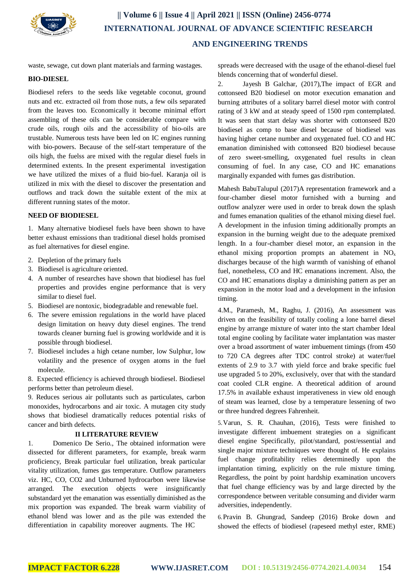

waste, sewage, cut down plant materials and farming wastages.

### **BIO-DIESEL**

Biodiesel refers to the seeds like vegetable coconut, ground nuts and etc. extracted oil from those nuts, a few oils separated from the leaves too. Economically it become minimal effort assembling of these oils can be considerable compare with crude oils, rough oils and the accessibility of bio-oils are trustable. Numerous tests have been led on IC engines running with bio-powers. Because of the self-start temperature of the oils high, the fuelss are mixed with the regular diesel fuels in determined extents. In the present experimental investigation we have utilized the mixes of a fluid bio-fuel. Karanja oil is utilized in mix with the diesel to discover the presentation and outflows and track down the suitable extent of the mix at different running states of the motor.

#### **NEED OF BIODIESEL**

1. Many alternative biodiesel fuels have been shown to have better exhaust emissions than traditional diesel holds promised as fuel alternatives for diesel engine.

- 2. Depletion of the primary fuels
- 3. Biodiesel is agriculture oriented.
- 4. A number of researches have shown that biodiesel has fuel properties and provides engine performance that is very similar to diesel fuel.
- 5. Biodiesel are nontoxic, biodegradable and renewable fuel.
- 6. The severe emission regulations in the world have placed design limitation on heavy duty diesel engines. The trend towards cleaner burning fuel is growing worldwide and it is possible through biodiesel.
- 7. Biodiesel includes a high cetane number, low Sulphur, low volatility and the presence of oxygen atoms in the fuel molecule.

8. Expected efficiency is achieved through biodiesel. Biodiesel performs better than petroleum diesel.

9. Reduces serious air pollutants such as particulates, carbon monoxides, hydrocarbons and air toxic. A mutagen city study shows that biodiesel dramatically reduces potential risks of cancer and birth defects.

#### **II LITERATURE REVIEW**

1. Domenico De Serio., The obtained information were dissected for different parameters, for example, break warm proficiency, Break particular fuel utilization, break particular vitality utilization, fumes gas temperature. Outflow parameters viz. HC, CO, CO2 and Unburned hydrocarbon were likewise arranged. The execution objects were insignificantly substandard yet the emanation was essentially diminished as the mix proportion was expanded. The break warm viability of ethanol blend was lower and as the pile was extended the differentiation in capability moreover augments. The HC

spreads were decreased with the usage of the ethanol-diesel fuel blends concerning that of wonderful diesel.

2. Jayesh B Galchar, (2017),The impact of EGR and cottonseed B20 biodiesel on motor execution emanation and burning attributes of a solitary barrel diesel motor with control rating of 3 kW and at steady speed of 1500 rpm contemplated. It was seen that start delay was shorter with cottonseed B20 biodiesel as comp to base diesel because of biodiesel was having higher cetane number and oxygenated fuel. CO and HC emanation diminished with cottonseed B20 biodiesel because of zero sweet-smelling, oxygenated fuel results in clean consuming of fuel. In any case, CO and HC emanations marginally expanded with fumes gas distribution.

Mahesh BabuTalupul (2017)A representation framework and a four-chamber diesel motor furnished with a burning and outflow analyzer were used in order to break down the splash and fumes emanation qualities of the ethanol mixing diesel fuel. A development in the infusion timing additionally prompts an expansion in the burning weight due to the adequate premixed length. In a four-chamber diesel motor, an expansion in the ethanol mixing proportion prompts an abatement in NO<sup>x</sup> discharges because of the high warmth of vanishing of ethanol fuel, nonetheless, CO and HC emanations increment. Also, the CO and HC emanations display a diminishing pattern as per an expansion in the motor load and a development in the infusion timing.

4.M., Paramesh, M., Raghu, J. (2016), An assessment was driven on the feasibility of totally cooling a lone barrel diesel engine by arrange mixture of water into the start chamber Ideal total engine cooling by facilitate water implantation was master over a broad assortment of water imbuement timings (from 450 to 720 CA degrees after TDC control stroke) at water/fuel extents of 2.9 to 3.7 with yield force and brake specific fuel use upgraded 5 to 20%, exclusively, over that with the standard coat cooled CLR engine. A theoretical addition of around 17.5% in available exhaust imperativeness in view old enough of steam was learned, close by a temperature lessening of two or three hundred degrees Fahrenheit.

5.Varun, S. R. Chauhan, (2016), Tests were finished to investigate different imbuement strategies on a significant diesel engine Specifically, pilot/standard, post/essential and single major mixture techniques were thought of. He explains fuel change profitability relies determinedly upon the implantation timing, explicitly on the rule mixture timing. Regardless, the point by point hardship examination uncovers that fuel change efficiency was by and large directed by the correspondence between veritable consuming and divider warm adversities, independently.

6.Pravin B. Ghungrad, Sandeep (2016) Broke down and showed the effects of biodiesel (rapeseed methyl ester, RME)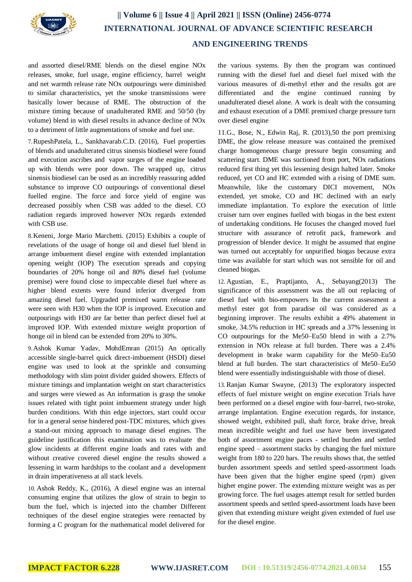

and assorted diesel/RME blends on the diesel engine NOx releases, smoke, fuel usage, engine efficiency, barrel weight and net warmth release rate NOx outpourings were diminished to similar characteristics, yet the smoke transmissions were basically lower because of RME. The obstruction of the mixture timing because of unadulterated RME and 50/50 (by volume) blend in with diesel results in advance decline of NOx to a detriment of little augmentations of smoke and fuel use.

7.RupeshPatela, L., Sankhavarab.C.D. (2016), Fuel properties of blends and unadulterated citrus sinensis biodiesel were found and execution ascribes and vapor surges of the engine loaded up with blends were poor down. The wrapped up, citrus sinensis biodiesel can be used as an incredibly reassuring added substance to improve CO outpourings of conventional diesel fuelled engine. The force and force yield of engine was decreased possibly when CSB was added to the diesel. CO radiation regards improved however NOx regards extended with CSB use.

8.Keneni, Jorge Mario Marchetti. (2015) Exhibits a couple of revelations of the usage of honge oil and diesel fuel blend in arrange imbuement diesel engine with extended implantation opening weight (IOP) The execution spreads and copying boundaries of 20% honge oil and 80% diesel fuel (volume premise) were found close to impeccable diesel fuel where as higher blend extents were found inferior diverged from amazing diesel fuel. Upgraded premixed warm release rate were seen with H30 when the IOP is improved. Execution and outpourings with H30 are far better than perfect diesel fuel at improved IOP. With extended mixture weight proportion of honge oil in blend can be extended from 20% to 30%.

9.Ashok Kumar Yadav, MohdEmran (2015) An optically accessible single-barrel quick direct-imbuement (HSDI) diesel engine was used to look at the sprinkle and consuming methodology with slim point divider guided showers. Effects of mixture timings and implantation weight on start characteristics and surges were viewed as An information is grasp the smoke issues related with tight point imbuement strategy under high burden conditions. With thin edge injectors, start could occur for in a general sense hindered post-TDC mixtures, which gives a stand-out mixing approach to manage diesel engines. The guideline justification this examination was to evaluate the glow incidents at different engine loads and rates with and without creative covered diesel engine the results showed a lessening in warm hardships to the coolant and a development in drain imperativeness at all stack levels.

10. Ashok Reddy, K., (2016), A diesel engine was an internal consuming engine that utilizes the glow of strain to begin to bum the fuel, which is injected into the chamber Different techniques of the diesel engine strategies were reenacted by forming a C program for the mathematical model delivered for

the various systems. By then the program was continued running with the diesel fuel and diesel fuel mixed with the various measures of di-methyl ether and the results got are differentiated and the engine continued running by unadulterated diesel alone. A work is dealt with the consuming and exhaust execution of a DME premixed charge pressure turn over diesel engine

11.G., Bose, N., Edwin Raj, R. (2013),50 the port premixing DME, the glow release measure was contained the premixed charge homogeneous charge pressure begin consuming and scattering start. DME was suctioned from port, NOx radiations reduced first thing yet this lessening design halted later. Smoke reduced, yet CO and HC extended with a rising of DME sum. Meanwhile, like the customary DICI movement, NOx extended, yet smoke, CO and HC declined with an early immediate implantation. To explore the execution of little cruiser turn over engines fuelled with biogas in the best extent of undertaking conditions. He focuses the changed moved fuel structure with assurance of retrofit pack, framework and progression of blender device. It might be assumed that engine was turned out acceptably for unpurified biogas because extra time was available for start which was not sensible for oil and cleaned biogas.

12. Agustian, E., Praptijanto, A., Sebayang(2013) The significance of this assessment was the all out replacing of diesel fuel with bio-empowers In the current assessment a methyl ester got from paradise oil was considered as a beginning improver. The results exhibit a 49% abatement in smoke, 34.5% reduction in HC spreads and a 37% lessening in CO outpourings for the Me50–Eu50 blend in with a 2.7% extension in NOx release at full burden. There was a 2.4% development in brake warm capability for the Me50–Eu50 blend at full burden. The start characteristics of Me50–Eu50 blend were essentially indistinguishable with those of diesel.

13. Ranjan Kumar Swayne, (2013) The exploratory inspected effects of fuel mixture weight on engine execution Trials have been performed on a diesel engine with four-barrel, two-stroke, arrange implantation. Engine execution regards, for instance, showed weight, exhibited pull, shaft force, brake drive, break mean incredible weight and fuel use have been investigated both of assortment engine paces - settled burden and settled engine speed – assortment stacks by changing the fuel mixture weight from 180 to 220 bars. The results shows that, the settled burden assortment speeds and settled speed-assortment loads have been given that the higher engine speed (rpm) given higher engine power. The extending mixture weight was as per growing force. The fuel usages attempt result for settled burden assortment speeds and settled speed-assortment loads have been given that extending mixture weight given extended of fuel use for the diesel engine.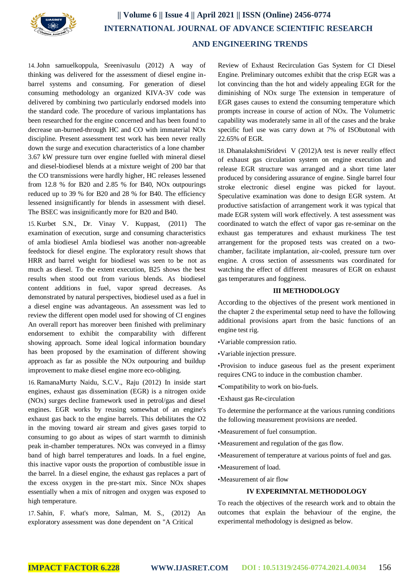

14.John samuelkoppula, Sreenivasulu (2012) A way of thinking was delivered for the assessment of diesel engine inbarrel systems and consuming. For generation of diesel consuming methodology an organized KIVA-3V code was delivered by combining two particularly endorsed models into the standard code. The procedure of various implantations has been researched for the engine concerned and has been found to decrease un-burned-through HC and CO with immaterial NOx discipline. Present assessment test work has been never really down the surge and execution characteristics of a lone chamber 3.67 kW pressure turn over engine fuelled with mineral diesel and diesel-biodiesel blends at a mixture weight of 200 bar that the CO transmissions were hardly higher, HC releases lessened from 12.8 % for B20 and 2.85 % for B40, NOx outpourings reduced up to 39 % for B20 and 28 % for B40. The efficiency lessened insignificantly for blends in assessment with diesel. The BSEC was insignificantly more for B20 and B40.

15. Kurbet S.N., Dr. Vinay V. Kuppast, (2011) The examination of execution, surge and consuming characteristics of amla biodiesel Amla biodiesel was another non-agreeable feedstock for diesel engine. The exploratory result shows that HRR and barrel weight for biodiesel was seen to be not as much as diesel. To the extent execution, B25 shows the best results when stood out from various blends. As biodiesel content additions in fuel, vapor spread decreases. As demonstrated by natural perspectives, biodiesel used as a fuel in a diesel engine was advantageous. An assessment was led to review the different open model used for showing of CI engines An overall report has moreover been finished with preliminary endorsement to exhibit the comparability with different showing approach. Some ideal logical information boundary has been proposed by the examination of different showing approach as far as possible the NOx outpouring and buildup improvement to make diesel engine more eco-obliging.

16. RamanaMurty Naidu, S.C.V., Raju (2012) In inside start engines, exhaust gas dissemination (EGR) is a nitrogen oxide (NOx) surges decline framework used in petrol/gas and diesel engines. EGR works by reusing somewhat of an engine's exhaust gas back to the engine barrels. This debilitates the O2 in the moving toward air stream and gives gases torpid to consuming to go about as wipes of start warmth to diminish peak in-chamber temperatures. NOx was conveyed in a flimsy band of high barrel temperatures and loads. In a fuel engine, this inactive vapor ousts the proportion of combustible issue in the barrel. In a diesel engine, the exhaust gas replaces a part of the excess oxygen in the pre-start mix. Since NOx shapes essentially when a mix of nitrogen and oxygen was exposed to high temperature.

17. Sahin, F. what's more, Salman, M. S., (2012) An exploratory assessment was done dependent on "A Critical

Review of Exhaust Recirculation Gas System for CI Diesel Engine. Preliminary outcomes exhibit that the crisp EGR was a lot convincing than the hot and widely appealing EGR for the diminishing of NOx surge The extension in temperature of EGR gases causes to extend the consuming temperature which prompts increase in course of action of NOx. The Volumetric capability was moderately same in all of the cases and the brake specific fuel use was carry down at 7% of ISObutonal with 22.65% of EGR.

18. DhanalakshmiSridevi V (2012)A test is never really effect of exhaust gas circulation system on engine execution and release EGR structure was arranged and a short time later produced by considering assurance of engine. Single barrel four stroke electronic diesel engine was picked for layout. Speculative examination was done to design EGR system. At productive satisfaction of arrangement work it was typical that made EGR system will work effectively. A test assessment was coordinated to watch the effect of vapor gas re-seminar on the exhaust gas temperatures and exhaust murkiness The test arrangement for the proposed tests was created on a twochamber, facilitate implantation, air-cooled, pressure turn over engine. A cross section of assessments was coordinated for watching the effect of different measures of EGR on exhaust gas temperatures and fogginess.

#### **III METHODOLOGY**

According to the objectives of the present work mentioned in the chapter 2 the experimental setup need to have the following additional provisions apart from the basic functions of an engine test rig.

•Variable compression ratio.

•Variable injection pressure.

•Provision to induce gaseous fuel as the present experiment requires CNG to induce in the combustion chamber.

•Compatibility to work on bio-fuels.

•Exhaust gas Re-circulation

To determine the performance at the various running conditions the following measurement provisions are needed.

•Measurement of fuel consumption.

•Measurement and regulation of the gas flow.

•Measurement of temperature at various points of fuel and gas.

•Measurement of load.

•Measurement of air flow

## **IV EXPERIMNTAL METHODOLOGY**

To reach the objectives of the research work and to obtain the outcomes that explain the behaviour of the engine, the experimental methodology is designed as below.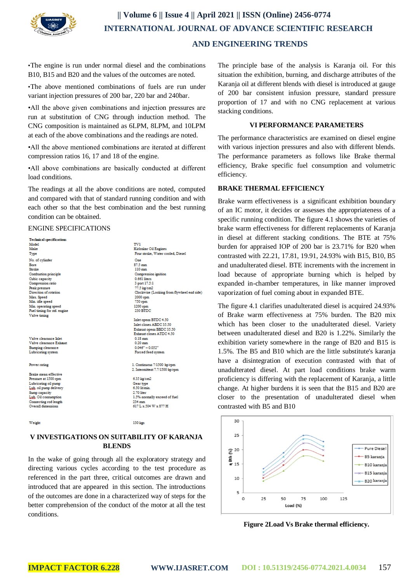

•The engine is run under normal diesel and the combinations B10, B15 and B20 and the values of the outcomes are noted.

•The above mentioned combinations of fuels are run under variant injection pressures of 200 bar, 220 bar and 240bar.

•All the above given combinations and injection pressures are run at substitution of CNG through induction method. The CNG composition is maintained as 6LPM, 8LPM, and 10LPM at each of the above combinations and the readings are noted.

•All the above mentioned combinations are iterated at different compression ratios 16, 17 and 18 of the engine.

•All above combinations are basically conducted at different load conditions.

The readings at all the above conditions are noted, computed and compared with that of standard running condition and with each other so that the best combination and the best running condition can be obtained.

#### ENGINE SPECIFICATIONS

| <b>Technical specifications</b> |                                            |
|---------------------------------|--------------------------------------------|
| Model <sup>1</sup>              | TV1                                        |
| Make                            | Kirloskar Oil Engines                      |
| Type                            | Four stroke, Water cooled, Diesel          |
| No. of cylinder                 | Ose                                        |
| Bore                            | 87.5 mm                                    |
| Stroke                          | $110$ mm                                   |
| Combustion principle            | Compression ignition                       |
| Cubic capacity                  | 0.661 liters                               |
| Compression ratio               | 3 port 17.5:1                              |
| Peak pressure                   | 77.5 kg/cm2                                |
| Direction of rotation           | Clockwise (Looking from flywheel end side) |
| Max. Speed                      | 2000 rpm                                   |
| Min. idle speed                 | 750 rpm                                    |
| Min. operating speed            | 1200 rpm                                   |
| Fuel timing for std. engine     | 230 BTDC                                   |
| Valve timing                    |                                            |
|                                 | Inlet opens BTDC 4.50                      |
|                                 | Inlet closes ABDC 35.50                    |
|                                 | Exhaust opens BBDC 35.50                   |
|                                 | <b>Exhaust closes ATDC 4.50</b>            |
| Valve clearance lilet           | $0.18$ mm                                  |
| Valve clearance Exhaust         | $0.20$ mm.                                 |
| Bumping clearance               | $0.046" - 0.052"$                          |
| Lubricating system              | Forced feed system                         |
| Power rating                    | 1. Continuous 7/1500 hp/rpm                |
|                                 | 2. Intermittent 7.7/1500 holrom            |
| Brake mean effective            |                                            |
| Pressure at 1500 rpm            | 6.35 kg/cm2                                |
| Lubricating oil pump            | Gear type                                  |
| Lub, oil pump delivery          | 6.50 lithmin.                              |
| Sumo capacity                   | 2.70 liter                                 |
| Lub, Oil consumption            | 1.5% normally exceed of fuel               |
| Connecting rod length           | 234 mm                                     |
| Overall dimensions:             | 617 L x 504 W x 877 H                      |
|                                 |                                            |
|                                 |                                            |

Weigh

130 kg

## **V INVESTIGATIONS ON SUITABILITY OF KARANJA BLENDS**

In the wake of going through all the exploratory strategy and directing various cycles according to the test procedure as referenced in the part three, critical outcomes are drawn and introduced that are appeared in this section. The introductions of the outcomes are done in a characterized way of steps for the better comprehension of the conduct of the motor at all the test conditions.

The principle base of the analysis is Karanja oil. For this situation the exhibition, burning, and discharge attributes of the Karanja oil at different blends with diesel is introduced at gauge of 200 bar consistent infusion pressure, standard pressure proportion of 17 and with no CNG replacement at various stacking conditions.

## **VI PERFORMANCE PARAMETERS**

The performance characteristics are examined on diesel engine with various injection pressures and also with different blends. The performance parameters as follows like Brake thermal efficiency, Brake specific fuel consumption and volumetric efficiency.

## **BRAKE THERMAL EFFICIENCY**

Brake warm effectiveness is a significant exhibition boundary of an IC motor, it decides or assesses the appropriateness of a specific running condition. The figure 4.1 shows the varieties of brake warm effectiveness for different replacements of Karanja in diesel at different stacking conditions. The BTE at 75% burden for appraised IOP of 200 bar is 23.71% for B20 when contrasted with 22.21, 17.81, 19.91, 24.93% with B15, B10, B5 and unadulterated diesel. BTE increments with the increment in load because of appropriate burning which is helped by expanded in-chamber temperatures, in like manner improved vaporization of fuel coming about in expanded BTE.

The figure 4.1 clarifies unadulterated diesel is acquired 24.93% of Brake warm effectiveness at 75% burden. The B20 mix which has been closer to the unadulterated diesel. Variety between unadulterated diesel and B20 is 1.22%. Similarly the exhibition variety somewhere in the range of B20 and B15 is 1.5%. The B5 and B10 which are the little substitute's karanja have a disintegration of execution contrasted with that of unadulterated diesel. At part load conditions brake warm proficiency is differing with the replacement of Karanja, a little change. At higher burdens it is seen that the B15 and B20 are closer to the presentation of unadulterated diesel when contrasted with B5 and B10



**Figure 2Load Vs Brake thermal efficiency.**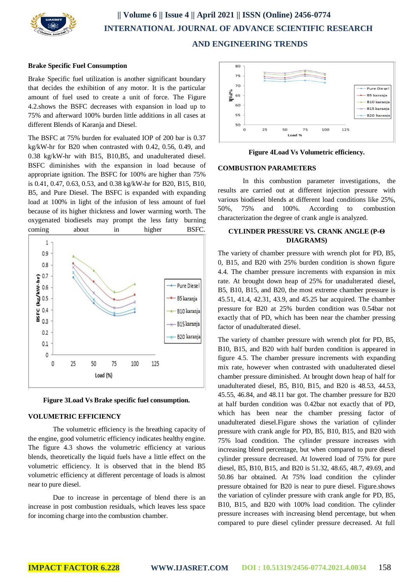

#### **Brake Specific Fuel Consumption**

Brake Specific fuel utilization is another significant boundary that decides the exhibition of any motor. It is the particular amount of fuel used to create a unit of force. The Figure 4.2.shows the BSFC decreases with expansion in load up to 75% and afterward 100% burden little additions in all cases at different Blends of Karanja and Diesel.

The BSFC at 75% burden for evaluated IOP of 200 bar is 0.37 kg/kW-hr for B20 when contrasted with 0.42, 0.56, 0.49, and 0.38 kg/kW-hr with B15, B10,B5, and unadulterated diesel. BSFC diminishes with the expansion in load because of appropriate ignition. The BSFC for 100% are higher than 75% is 0.41, 0.47, 0.63, 0.53, and 0.38 kg/kW-hr for B20, B15, B10, B5, and Pure Diesel. The BSFC is expanded with expanding load at 100% in light of the infusion of less amount of fuel because of its higher thickness and lower warming worth. The oxygenated biodiesels may prompt the less fatty burning coming about in higher BSFC.





## **VOLUMETRIC EFFICIENCY**

The volumetric efficiency is the breathing capacity of the engine, good volumetric efficiency indicates healthy engine. The figure 4.3 shows the volumetric efficiency at various blends, theoretically the liquid fuels have a little effect on the volumetric efficiency. It is observed that in the blend B5 volumetric efficiency at different percentage of loads is almost near to pure diesel.

Due to increase in percentage of blend there is an increase in post combustion residuals, which leaves less space for incoming charge into the combustion chamber.



**Figure 4Load Vs Volumetric efficiency.**

### **COMBUSTION PARAMETERS**

In this combustion parameter investigations, the results are carried out at different injection pressure with various biodiesel blends at different load conditions like 25%, 50%, 75% and 100%. According to combustion characterization the degree of crank angle is analyzed.

## **CYLINDER PRESSURE VS. CRANK ANGLE (P-Θ DIAGRAMS)**

The variety of chamber pressure with wrench plot for PD, B5, 0, B15, and B20 with 25% burden condition is shown figure 4.4. The chamber pressure increments with expansion in mix rate. At brought down heap of 25% for unadulterated diesel, B5, B10, B15, and B20, the most extreme chamber pressure is 45.51, 41.4, 42.31, 43.9, and 45.25 bar acquired. The chamber pressure for B20 at 25% burden condition was 0.54bar not exactly that of PD, which has been near the chamber pressing factor of unadulterated diesel.

The variety of chamber pressure with wrench plot for PD, B5, B10, B15, and B20 with half burden condition is appeared in figure 4.5. The chamber pressure increments with expanding mix rate, however when contrasted with unadulterated diesel chamber pressure diminished. At brought down heap of half for unadulterated diesel, B5, B10, B15, and B20 is 48.53, 44.53, 45.55, 46.84, and 48.11 bar got. The chamber pressure for B20 at half burden condition was 0.42bar not exactly that of PD, which has been near the chamber pressing factor of unadulterated diesel.Figure shows the variation of cylinder pressure with crank angle for PD, B5, B10, B15, and B20 with 75% load condition. The cylinder pressure increases with increasing blend percentage, but when compared to pure diesel cylinder pressure decreased. At lowered load of 75% for pure diesel, B5, B10, B15, and B20 is 51.32, 48.65, 48.7, 49.69, and 50.86 bar obtained. At 75% load condition the cylinder pressure obtained for B20 is near to pure diesel. Figure.shows the variation of cylinder pressure with crank angle for PD, B5, B10, B15, and B20 with 100% load condition. The cylinder pressure increases with increasing blend percentage, but when compared to pure diesel cylinder pressure decreased. At full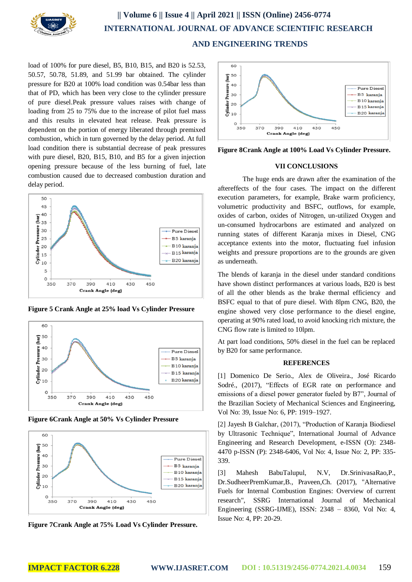

load of 100% for pure diesel, B5, B10, B15, and B20 is 52.53, 50.57, 50.78, 51.89, and 51.99 bar obtained. The cylinder pressure for B20 at 100% load condition was 0.54bar less than that of PD, which has been very close to the cylinder pressure of pure diesel.Peak pressure values raises with change of loading from 25 to 75% due to the increase of pilot fuel mass and this results in elevated heat release. Peak pressure is dependent on the portion of energy liberated through premixed combustion, which in turn governed by the delay period. At full load condition there is substantial decrease of peak pressures with pure diesel, B20, B15, B10, and B5 for a given injection opening pressure because of the less burning of fuel, late combustion caused due to decreased combustion duration and delay period.



**Figure 5 Crank Angle at 25% load Vs Cylinder Pressure**



**Figure 6Crank Angle at 50% Vs Cylinder Pressure**



**Figure 7Crank Angle at 75% Load Vs Cylinder Pressure.**



**Figure 8Crank Angle at 100% Load Vs Cylinder Pressure.**

#### **VII CONCLUSIONS**

The huge ends are drawn after the examination of the aftereffects of the four cases. The impact on the different execution parameters, for example, Brake warm proficiency, volumetric productivity and BSFC, outflows, for example, oxides of carbon, oxides of Nitrogen, un-utilized Oxygen and un-consumed hydrocarbons are estimated and analyzed on running states of different Karanja mixes in Diesel, CNG acceptance extents into the motor, fluctuating fuel infusion weights and pressure proportions are to the grounds are given as underneath.

The blends of karanja in the diesel under standard conditions have shown distinct performances at various loads, B20 is best of all the other blends as the brake thermal efficiency and BSFC equal to that of pure diesel. With 8lpm CNG, B20, the engine showed very close performance to the diesel engine, operating at 90% rated load, to avoid knocking rich mixture, the CNG flow rate is limited to 10lpm.

At part load conditions, 50% diesel in the fuel can be replaced by B20 for same performance.

### **REFERENCES**

[1] Domenico De Serio., Alex de Oliveira., José Ricardo Sodré., (2017), "Effects of EGR rate on performance and emissions of a diesel power generator fueled by B7", Journal of the Brazilian Society of Mechanical Sciences and Engineering, Vol No: 39, Issue No: 6, PP: 1919–1927.

[2] Jayesh B Galchar, (2017), "Production of Karanja Biodiesel by Ultrasonic Technique", International Journal of Advance Engineering and Research Development, e-ISSN (O): 2348- 4470 p-ISSN (P): 2348-6406, Vol No: 4, Issue No: 2, PP: 335- 339.

[3] Mahesh BabuTalupul, N.V, Dr.SrinivasaRao,P., Dr.SudheerPremKumar,B., Praveen,Ch. (2017), "Alternative Fuels for Internal Combustion Engines: Overview of current research", SSRG International Journal of Mechanical Engineering (SSRG-IJME), ISSN: 2348 – 8360, Vol No: 4, Issue No: 4, PP: 20-29.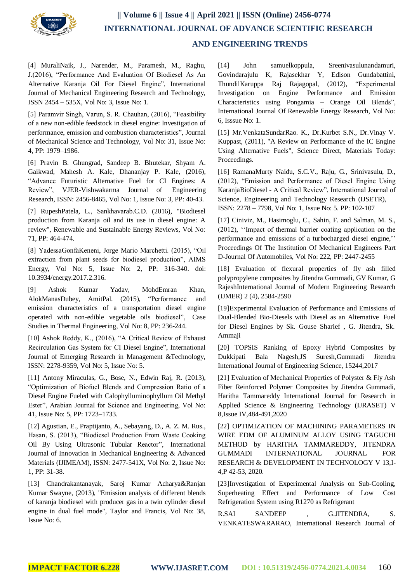

[4] MuraliNaik, J., Narender, M., Paramesh, M., Raghu, J.(2016), "Performance And Evaluation Of Biodiesel As An Alternative Karanja Oil For Diesel Engine", International Journal of Mechanical Engineering Research and Technology, ISSN 2454 – 535X, Vol No: 3, Issue No: 1.

[5] Paramvir Singh, Varun, S. R. Chauhan, (2016), "Feasibility of a new non-edible feedstock in diesel engine: Investigation of performance, emission and combustion characteristics", Journal of Mechanical Science and Technology, Vol No: 31, Issue No: 4, PP: 1979–1986.

[6] Pravin B. Ghungrad, Sandeep B. Bhutekar, Shyam A. Gaikwad, Mahesh A. Kale, Dhananjay P. Kale, (2016), "Advance Futuristic Alternative Fuel for CI Engines: A Review", VJER-Vishwakarma Journal of Engineering Research, ISSN: 2456-8465, Vol No: 1, Issue No: 3, PP: 40-43.

[7] RupeshPatela, L., Sankhavarab.C.D. (2016), "Biodiesel production from Karanja oil and its use in diesel engine: A review", Renewable and Sustainable Energy Reviews, Vol No: 71, PP: 464-474.

[8] YadessaGonfaKeneni, Jorge Mario Marchetti. (2015), "Oil extraction from plant seeds for biodiesel production", AIMS Energy, Vol No: 5, Issue No: 2, PP: 316-340. doi: 10.3934/energy.2017.2.316.

[9] Ashok Kumar Yadav, MohdEmran Khan, AlokManasDubey, AmitPal. (2015), "Performance and emission characteristics of a transportation diesel engine operated with non-edible vegetable oils biodiesel", Case Studies in Thermal Engineering, Vol No: 8, PP: 236-244.

[10] Ashok Reddy, K., (2016), "A Critical Review of Exhaust Recirculation Gas System for CI Diesel Engine", International Journal of Emerging Research in Management &Technology, ISSN: 2278-9359, Vol No: 5, Issue No: 5.

[11] Antony Miraculas, G., Bose, N., Edwin Raj, R. (2013), "Optimization of Biofuel Blends and Compression Ratio of a Diesel Engine Fueled with Calophylluminophyllum Oil Methyl Ester", Arabian Journal for Science and Engineering, Vol No: 41, Issue No: 5, PP: 1723–1733.

[12] Agustian, E., Praptijanto, A., Sebayang, D., A. Z. M. Rus., Hasan, S. (2013), "Biodiesel Production From Waste Cooking Oil By Using Ultrasonic Tubular Reactor", International Journal of Innovation in Mechanical Engineering & Advanced Materials (IJIMEAM), ISSN: 2477-541X, Vol No: 2, Issue No: 1, PP: 31-38.

[13] Chandrakantanayak, Saroj Kumar Acharya&Ranjan Kumar Swayne, (2013), "Emission analysis of different blends of karanja biodiesel with producer gas in a twin cylinder diesel engine in dual fuel mode", Taylor and Francis, Vol No: 38, Issue No: 6.

[14] John samuelkoppula, Sreenivasulunandamuri, Govindarajulu K, Rajasekhar Y, Edison Gundabattini, ThundilKaruppa Raj Rajagopal, (2012), "Experimental Investigation on Engine Performance and Emission Characteristics using Pongamia – Orange Oil Blends", International Journal Of Renewable Energy Research, Vol No: 6, Isssue No: 1.

[15] Mr.VenkataSundarRao. K., Dr.Kurbet S.N., Dr.Vinay V. Kuppast, (2011), "A Review on Performance of the IC Engine Using Alternative Fuels", Science Direct, Materials Today: Proceedings.

[16] RamanaMurty Naidu, S.C.V., Raju, G., Srinivasulu, D., (2012), "Emission and Performance of Diesel Engine Using KaranjaBioDiesel - A Critical Review", International Journal of Science, Engineering and Technology Research (IJSETR), ISSN: 2278 – 7798, Vol No: 1, Issue No: 5. PP: 102-107

[17] Ciniviz, M., Hasimoglu, C., Sahin, F. and Salman, M. S., (2012), ''Impact of thermal barrier coating application on the performance and emissions of a turbocharged diesel engine,'' Proceedings Of The Institution Of Mechanical Engineers Part D-Journal Of Automobiles, Vol No: 222, PP: 2447-2455

[18] Evaluation of flexural properties of fly ash filled polypropylene composites by Jitendra Gummadi, GV Kumar, G RajeshInternational Journal of Modern Engineering Research (IJMER) 2 (4), 2584-2590

[19]Experimental Evaluation of Performance and Emissions of Dual-Blended Bio-Diesels with Diesel as an Alternative Fuel for Diesel Engines by Sk. Gouse Sharief , G. Jitendra, Sk. Ammaji

[20] TOPSIS Ranking of Epoxy Hybrid Composites by Dukkipati Bala Nagesh,JS Suresh,Gummadi Jitendra International Journal of Engineering Science, 15244,2017

[21] Evaluation of Mechanical Properties of Polyster & Fly Ash Fiber Reinforced Polymer Composites by Jitendra Gummadi, Haritha Tammareddy International Journal for Research in Applied Science & Engineering Technology (IJRASET) V 8,Issue IV,484-491,2020

[22] OPTIMIZATION OF MACHINING PARAMETERS IN WIRE EDM OF ALUMINUM ALLOY USING TAGUCHI METHOD by HARITHA TAMMAREDDY, JITENDRA GUMMADI INTERNATIONAL JOURNAL FOR RESEARCH & DEVELOPMENT IN TECHNOLOGY V 13,I-4,P 42-53, 2020.

[23]Investigation of Experimental Analysis on Sub-Cooling, Superheating Effect and Performance of Low Cost Refrigeration System using R1270 as Refrigerant

R.SAI SANDEEP , G.JITENDRA, S. VENKATESWARARAO, International Research Journal of